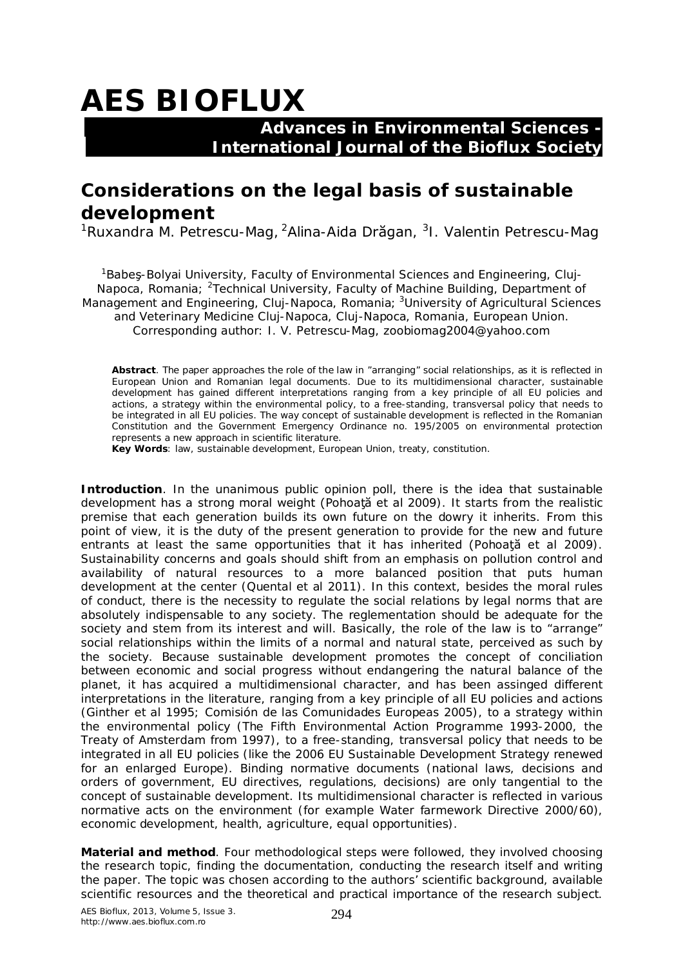## **AES BIOFLUX**

## **Advances in Environmental Sciences - International Journal of the Bioflux Society**

## **Considerations on the legal basis of sustainable development**

<sup>1</sup>Ruxandra M. Petrescu-Mag, <sup>2</sup>Alina-Aida Drăgan, <sup>3</sup>I. Valentin Petrescu-Mag

<sup>1</sup>Babes-Bolyai University, Faculty of Environmental Sciences and Engineering, Cluj-Napoca, Romania; <sup>2</sup>Technical University, Faculty of Machine Building, Department of Management and Engineering, Cluj-Napoca, Romania; <sup>3</sup>University of Agricultural Sciences and Veterinary Medicine Cluj-Napoca, Cluj-Napoca, Romania, European Union. Corresponding author: I. V. Petrescu-Mag, zoobiomag2004@yahoo.com

**Abstract**. The paper approaches the role of the law in "arranging" social relationships, as it is reflected in European Union and Romanian legal documents. Due to its multidimensional character, sustainable development has gained different interpretations ranging from a key principle of all EU policies and actions, a strategy within the environmental policy, to a free-standing, transversal policy that needs to be integrated in all EU policies. The way concept of sustainable development is reflected in the Romanian Constitution and the Government Emergency Ordinance no. 195/2005 on environmental protection represents a new approach in scientific literature.

**Key Words**: law, sustainable development, European Union, treaty, constitution.

**Introduction**. In the unanimous public opinion poll, there is the idea that sustainable development has a strong moral weight (Pohoată et al 2009). It starts from the realistic premise that each generation builds its own future on the dowry it inherits. From this point of view, it is the duty of the present generation to provide for the new and future entrants at least the same opportunities that it has inherited (Pohoata et al 2009). Sustainability concerns and goals should shift from an emphasis on pollution control and availability of natural resources to a more balanced position that puts human development at the center (Quental et al 2011). In this context, besides the moral rules of conduct, there is the necessity to regulate the social relations by legal norms that are absolutely indispensable to any society. The reglementation should be adequate for the society and stem from its interest and will. Basically, the role of the law is to "arrange" social relationships within the limits of a normal and natural state, perceived as such by the society. Because sustainable development promotes the concept of conciliation between economic and social progress without endangering the natural balance of the planet, it has acquired a multidimensional character, and has been assinged different interpretations in the literature, ranging from a key principle of all EU policies and actions (Ginther et al 1995; Comisión de las Comunidades Europeas 2005), to a strategy within the environmental policy (The Fifth Environmental Action Programme 1993-2000, the Treaty of Amsterdam from 1997), to a free-standing, transversal policy that needs to be integrated in all EU policies (like the 2006 EU Sustainable Development Strategy renewed for an enlarged Europe). Binding normative documents (national laws, decisions and orders of government, EU directives, regulations, decisions) are only tangential to the concept of sustainable development. Its multidimensional character is reflected in various normative acts on the environment (for example Water farmework Directive 2000/60), economic development, health, agriculture, equal opportunities).

**Material and method**. Four methodological steps were followed, they involved choosing the research topic, finding the documentation, conducting the research itself and writing the paper. The topic was chosen according to the authors' scientific background, available scientific resources and the theoretical and practical importance of the research subject.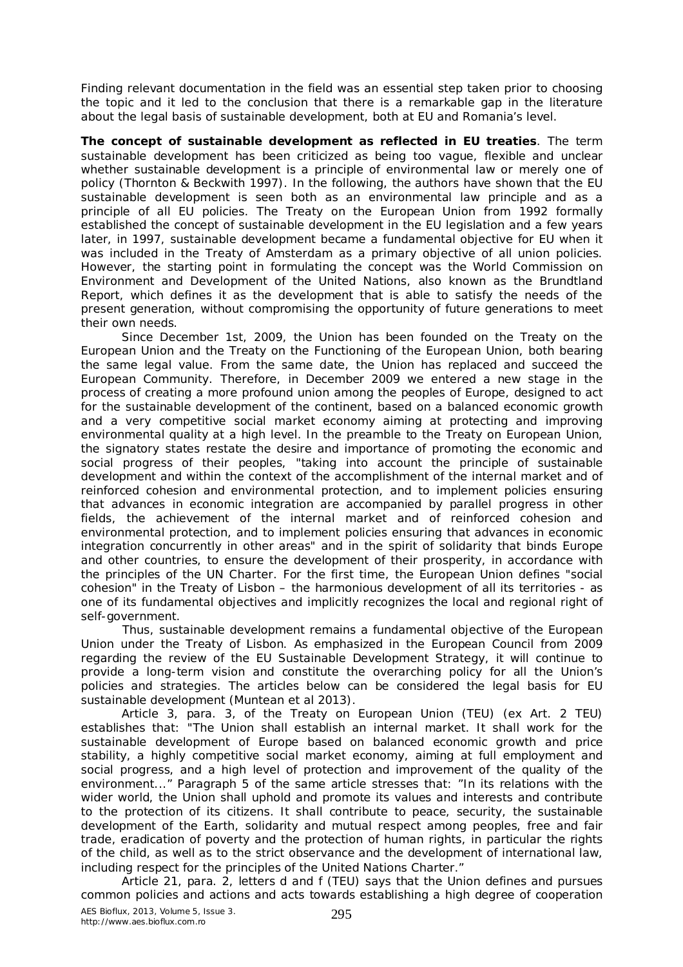Finding relevant documentation in the field was an essential step taken prior to choosing the topic and it led to the conclusion that there is a remarkable gap in the literature about the legal basis of sustainable development, both at EU and Romania's level.

**The concept of sustainable development as reflected in EU treaties**. The term sustainable development has been criticized as being too vague, flexible and unclear whether sustainable development is a principle of environmental law or merely one of policy (Thornton & Beckwith 1997). In the following, the authors have shown that the EU sustainable development is seen both as an environmental law principle and as a principle of all EU policies. The Treaty on the European Union from 1992 formally established the concept of sustainable development in the EU legislation and a few years later, in 1997, sustainable development became a fundamental objective for EU when it was included in the Treaty of Amsterdam as a primary objective of all union policies. However, the starting point in formulating the concept was the World Commission on Environment and Development of the United Nations, also known as the Brundtland Report, which defines it as the development that is able to satisfy the needs of the present generation, without compromising the opportunity of future generations to meet their own needs.

Since December 1st, 2009, the Union has been founded on the Treaty on the European Union and the Treaty on the Functioning of the European Union, both bearing the same legal value. From the same date, the Union has replaced and succeed the European Community. Therefore, in December 2009 we entered a new stage in the process of creating a more profound union among the peoples of Europe, designed to act for the sustainable development of the continent, based on a balanced economic growth and a very competitive social market economy aiming at protecting and improving environmental quality at a high level. In the preamble to the Treaty on European Union, the signatory states restate the desire and importance of promoting the economic and social progress of their peoples, "taking into account the principle of sustainable development and within the context of the accomplishment of the internal market and of reinforced cohesion and environmental protection, and to implement policies ensuring that advances in economic integration are accompanied by parallel progress in other fields, the achievement of the internal market and of reinforced cohesion and environmental protection, and to implement policies ensuring that advances in economic integration concurrently in other areas" and in the spirit of solidarity that binds Europe and other countries, to ensure the development of their prosperity, in accordance with the principles of the UN Charter. For the first time, the European Union defines "social cohesion" in the Treaty of Lisbon – the harmonious development of all its territories - as one of its fundamental objectives and implicitly recognizes the local and regional right of self-government.

Thus, sustainable development remains a fundamental objective of the European Union under the Treaty of Lisbon. As emphasized in the European Council from 2009 regarding the review of the EU Sustainable Development Strategy, it will continue to provide a long-term vision and constitute the overarching policy for all the Union's policies and strategies. The articles below can be considered the legal basis for EU sustainable development (Muntean et al 2013).

Article 3, para. 3, of the Treaty on European Union (TEU) (ex Art. 2 TEU) establishes that: "The Union shall establish an internal market. It shall work for the sustainable development of Europe based on balanced economic growth and price stability, a highly competitive social market economy, aiming at full employment and social progress, and a high level of protection and improvement of the quality of the environment..." Paragraph 5 of the same article stresses that: "In its relations with the wider world, the Union shall uphold and promote its values and interests and contribute to the protection of its citizens. It shall contribute to peace, security, the sustainable development of the Earth, solidarity and mutual respect among peoples, free and fair trade, eradication of poverty and the protection of human rights, in particular the rights of the child, as well as to the strict observance and the development of international law, including respect for the principles of the United Nations Charter."

Article 21, para. 2, letters d and f (TEU) says that the Union defines and pursues common policies and actions and acts towards establishing a high degree of cooperation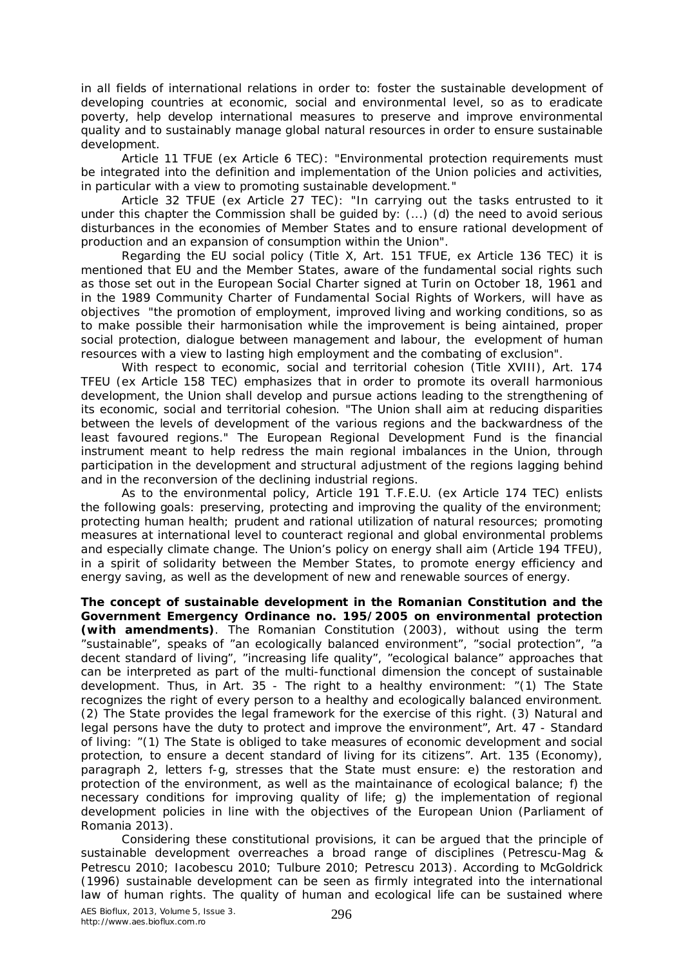in all fields of international relations in order to: foster the sustainable development of developing countries at economic, social and environmental level, so as to eradicate poverty, help develop international measures to preserve and improve environmental quality and to sustainably manage global natural resources in order to ensure sustainable development.

Article 11 TFUE (ex Article 6 TEC): "Environmental protection requirements must be integrated into the definition and implementation of the Union policies and activities, in particular with a view to promoting sustainable development."

Article 32 TFUE (ex Article 27 TEC): "In carrying out the tasks entrusted to it under this chapter the Commission shall be guided by: (...) (d) the need to avoid serious disturbances in the economies of Member States and to ensure rational development of production and an expansion of consumption within the Union".

Regarding the EU social policy (Title X, Art. 151 TFUE, ex Article 136 TEC) it is mentioned that EU and the Member States, aware of the fundamental social rights such as those set out in the European Social Charter signed at Turin on October 18, 1961 and in the 1989 Community Charter of Fundamental Social Rights of Workers, will have as objectives "the promotion of employment, improved living and working conditions, so as to make possible their harmonisation while the improvement is being aintained, proper social protection, dialogue between management and labour, the evelopment of human resources with a view to lasting high employment and the combating of exclusion".

With respect to economic, social and territorial cohesion (Title XVIII), Art. 174 TFEU (ex Article 158 TEC) emphasizes that in order to promote its overall harmonious development, the Union shall develop and pursue actions leading to the strengthening of its economic, social and territorial cohesion. "The Union shall aim at reducing disparities between the levels of development of the various regions and the backwardness of the least favoured regions." The European Regional Development Fund is the financial instrument meant to help redress the main regional imbalances in the Union, through participation in the development and structural adjustment of the regions lagging behind and in the reconversion of the declining industrial regions.

As to the environmental policy, Article 191 T.F.E.U. (ex Article 174 TEC) enlists the following goals: preserving, protecting and improving the quality of the environment; protecting human health; prudent and rational utilization of natural resources; promoting measures at international level to counteract regional and global environmental problems and especially climate change. The Union's policy on energy shall aim (Article 194 TFEU), in a spirit of solidarity between the Member States, to promote energy efficiency and energy saving, as well as the development of new and renewable sources of energy.

**The concept of sustainable development in the Romanian Constitution and the Government Emergency Ordinance no. 195/2005 on environmental protection (with amendments)**. The Romanian Constitution (2003), without using the term "sustainable", speaks of "an ecologically balanced environment", "social protection", "a decent standard of living", "increasing life quality", "ecological balance" approaches that can be interpreted as part of the multi-functional dimension the concept of sustainable development. Thus, in Art. 35 - The right to a healthy environment: "(1) The State recognizes the right of every person to a healthy and ecologically balanced environment. (2) The State provides the legal framework for the exercise of this right. (3) Natural and legal persons have the duty to protect and improve the environment", Art. 47 - Standard of living: "(1) The State is obliged to take measures of economic development and social protection, to ensure a decent standard of living for its citizens". Art. 135 (Economy), paragraph 2, letters f-g, stresses that the State must ensure: e) the restoration and protection of the environment, as well as the maintainance of ecological balance; f) the necessary conditions for improving quality of life; g) the implementation of regional development policies in line with the objectives of the European Union (Parliament of Romania 2013).

Considering these constitutional provisions, it can be argued that the principle of sustainable development overreaches a broad range of disciplines (Petrescu-Mag & Petrescu 2010; Iacobescu 2010; Tulbure 2010; Petrescu 2013). According to McGoldrick (1996) sustainable development can be seen as firmly integrated into the international law of human rights. The quality of human and ecological life can be sustained where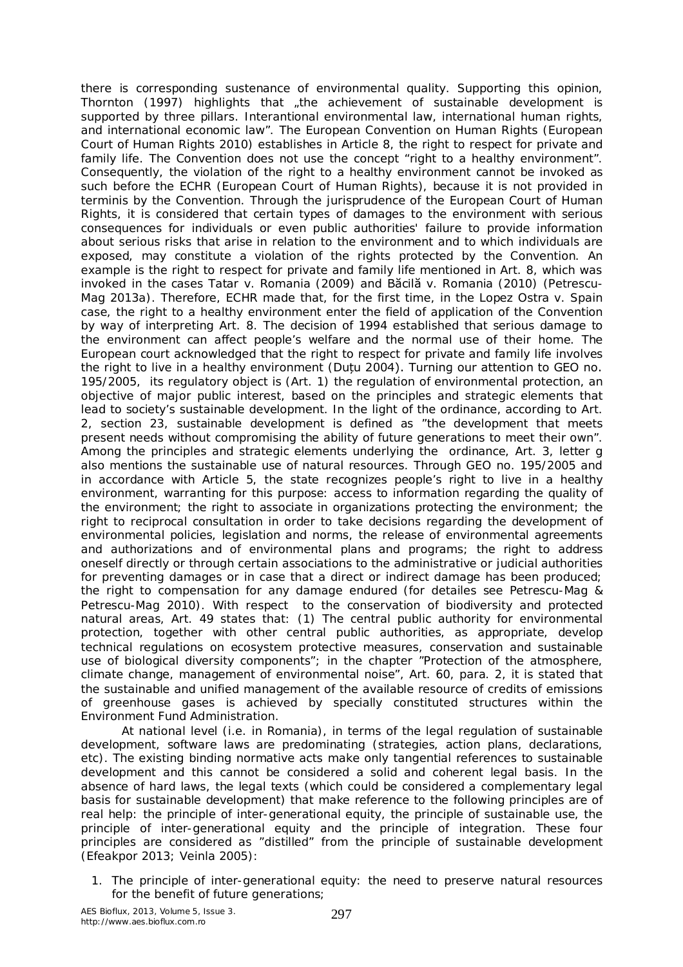there is corresponding sustenance of environmental quality. Supporting this opinion, Thornton (1997) highlights that the achievement of sustainable development is supported by three pillars. Interantional environmental law, international human rights, and international economic law". The European Convention on Human Rights (European Court of Human Rights 2010) establishes in Article 8, the right to respect for private and family life. The Convention does not use the concept "right to a healthy environment". Consequently, the violation of the right to a healthy environment cannot be invoked as such before the ECHR (European Court of Human Rights), because it is not provided *in terminis* by the Convention. Through the jurisprudence of the European Court of Human Rights, it is considered that certain types of damages to the environment with serious consequences for individuals or even public authorities' failure to provide information about serious risks that arise in relation to the environment and to which individuals are exposed, may constitute a violation of the rights protected by the Convention. An example is the right to respect for private and family life mentioned in Art. 8, which was invoked in the cases Tatar v. Romania (2009) and Băcilă v. Romania (2010) (Petrescu-Mag 2013a). Therefore, ECHR made that, for the first time, in the Lopez Ostra v. Spain case, the right to a healthy environment enter the field of application of the Convention by way of interpreting Art. 8. The decision of 1994 established that serious damage to the environment can affect people's welfare and the normal use of their home. The European court acknowledged that the right to respect for private and family life involves the right to live in a healthy environment (Duțu 2004). Turning our attention to GEO no. 195/2005, its regulatory object is (Art. 1) the regulation of environmental protection, an objective of major public interest, based on the principles and strategic elements that lead to society's sustainable development. In the light of the ordinance, according to Art. 2, section 23, sustainable development is defined as "the development that meets present needs without compromising the ability of future generations to meet their own". Among the principles and strategic elements underlying the ordinance, Art. 3, letter g also mentions the sustainable use of natural resources. Through GEO no. 195/2005 and in accordance with Article 5, the state recognizes people's right to live in a healthy environment, warranting for this purpose: access to information regarding the quality of the environment; the right to associate in organizations protecting the environment; the right to reciprocal consultation in order to take decisions regarding the development of environmental policies, legislation and norms, the release of environmental agreements and authorizations and of environmental plans and programs; the right to address oneself directly or through certain associations to the administrative or judicial authorities for preventing damages or in case that a direct or indirect damage has been produced; the right to compensation for any damage endured (for detailes see Petrescu-Mag & Petrescu-Mag 2010). With respect to the conservation of biodiversity and protected natural areas, Art. 49 states that: (1) The central public authority for environmental protection, together with other central public authorities, as appropriate, develop technical regulations on ecosystem protective measures, conservation and sustainable use of biological diversity components"; in the chapter "Protection of the atmosphere, climate change, management of environmental noise", Art. 60, para. 2, it is stated that the sustainable and unified management of the available resource of credits of emissions of greenhouse gases is achieved by specially constituted structures within the Environment Fund Administration.

At national level (i.e. in Romania), in terms of the legal regulation of sustainable development, software laws are predominating (strategies, action plans, declarations, etc). The existing binding normative acts make only tangential references to sustainable development and this cannot be considered a solid and coherent legal basis. In the absence of hard laws, the legal texts (which could be considered a complementary legal basis for sustainable development) that make reference to the following principles are of real help: the principle of inter-generational equity, the principle of sustainable use, the principle of inter-generational equity and the principle of integration. These four principles are considered as "distilled" from the principle of sustainable development (Efeakpor 2013; Veinla 2005):

1. The principle of inter-generational equity: the need to preserve natural resources for the benefit of future generations;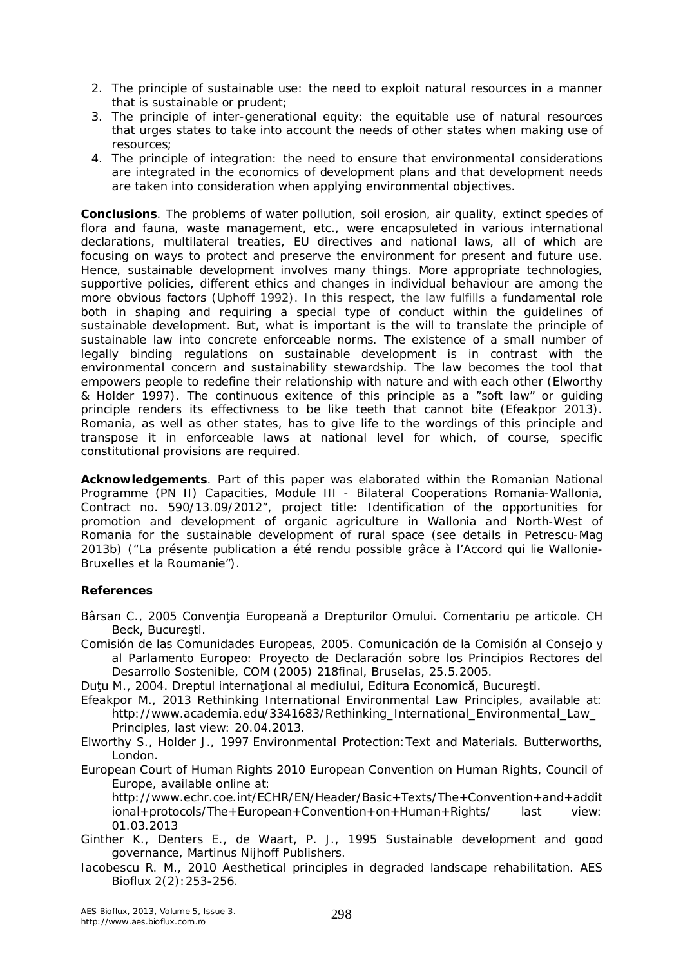- 2. The principle of sustainable use: the need to exploit natural resources in a manner that is sustainable or prudent;
- 3. The principle of inter-generational equity: the equitable use of natural resources that urges states to take into account the needs of other states when making use of resources;
- 4. The principle of integration: the need to ensure that environmental considerations are integrated in the economics of development plans and that development needs are taken into consideration when applying environmental objectives.

**Conclusions**. The problems of water pollution, soil erosion, air quality, extinct species of flora and fauna, waste management, etc., were encapsuleted in various international declarations, multilateral treaties, EU directives and national laws, all of which are focusing on ways to protect and preserve the environment for present and future use. Hence, sustainable development involves many things. More appropriate technologies, supportive policies, different ethics and changes in individual behaviour are among the more obvious factors (Uphoff 1992). In this respect, the law fulfills a fundamental role both in shaping and requiring a special type of conduct within the guidelines of sustainable development. But, what is important is the will to translate the principle of sustainable law into concrete enforceable norms. The existence of a small number of legally binding regulations on sustainable development is in contrast with the environmental concern and sustainability stewardship. The law becomes the tool that empowers people to redefine their relationship with nature and with each other (Elworthy & Holder 1997). The continuous exitence of this principle as a "soft law" or guiding principle renders its effectivness to be like teeth that cannot bite (Efeakpor 2013). Romania, as well as other states, has to give life to the wordings of this principle and transpose it in enforceable laws at national level for which, of course, specific constitutional provisions are required.

**Acknowledgements**. Part of this paper was elaborated within the Romanian National Programme (PN II) Capacities, Module III - Bilateral Cooperations Romania-Wallonia, Contract no. 590/13.09/2012", project title: Identification of the opportunities for promotion and development of organic agriculture in Wallonia and North-West of Romania for the sustainable development of rural space (see details in Petrescu-Mag 2013b) ("La présente publication a été rendu possible grâce à l'Accord qui lie Wallonie-Bruxelles et la Roumanie").

## **References**

- Bârsan C., 2005 Conventia Europeană a Drepturilor Omului. Comentariu pe articole. CH Beck, București.
- Comisión de las Comunidades Europeas, 2005. Comunicación de la Comisión al Consejo y al Parlamento Europeo: Proyecto de Declaración sobre los Principios Rectores del Desarrollo Sostenible, COM (2005) 218final, Bruselas, 25.5.2005.
- Dutu M., 2004. Dreptul international al mediului, Editura Economică, București.
- Efeakpor M., 2013 Rethinking International Environmental Law Principles, available at: http://www.academia.edu/3341683/Rethinking\_International\_Environmental\_Law\_ Principles, last view: 20.04.2013.
- Elworthy S., Holder J., 1997 Environmental Protection:Text and Materials. Butterworths, London.

European Court of Human Rights 2010 European Convention on Human Rights, Council of Europe, available online at:

http://www.echr.coe.int/ECHR/EN/Header/Basic+Texts/The+Convention+and+addit ional+protocols/The+European+Convention+on+Human+Rights/ last view: 01.03.2013

Ginther K., Denters E., de Waart, P. J., 1995 Sustainable development and good governance, Martinus Nijhoff Publishers.

Iacobescu R. M., 2010 Aesthetical principles in degraded landscape rehabilitation. AES Bioflux 2(2):253-256.